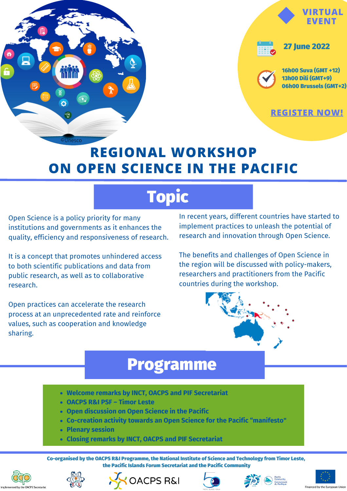



**[REGISTER](https://us06web.zoom.us/meeting/register/tZ0ofuCrrjItE9CZ7_ZKIYDy5RoAAGFuenu5) NOW!**

## **REGIONAL WORKSHOP ON OPEN SCIENCE IN THE PACIFIC**

# Topic

Open Science is a policy priority for many institutions and governments as it enhances the quality, efficiency and responsiveness of research.

It is a concept that promotes unhindered access to both scientific publications and data from public research, as well as to collaborative research.

Open practices can accelerate the research process at an unprecedented rate and reinforce values, such as cooperation and knowledge sharing.

In recent years, different countries have started to implement practices to unleash the potential of research and innovation through Open Science.

The benefits and challenges of Open Science in the region will be discussed with policy-makers, researchers and practitioners from the Pacific countries during the workshop.



### Programme

- **Welcome remarks by INCT, OACPS and PIF Secretariat**
- **OACPS R&I PSF – Timor Leste**
- **Open discussion on Open Science in the Pacific**
- **Co-creation activity towards an Open Science for the Pacific "manifesto"**
- **Plenary session**
- **Closing remarks by INCT, OACPS and PIF Secretariat**

Co-organised by the OACPS R&I Programme, the National Institute of Science and Technology from Timor Leste, the Pacific Islands Forum Secretariat and the Pacific Community